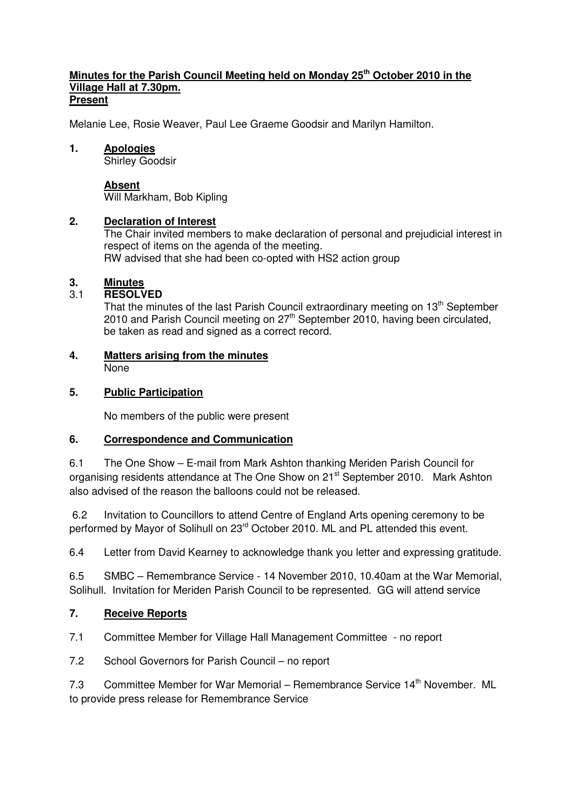#### **Minutes for the Parish Council Meeting held on Monday 25th October 2010 in the Village Hall at 7.30pm. Present**

Melanie Lee, Rosie Weaver, Paul Lee Graeme Goodsir and Marilyn Hamilton.

#### **1. Apologies**

Shirley Goodsir

#### **Absent**

Will Markham, Bob Kipling

## **2. Declaration of Interest**

The Chair invited members to make declaration of personal and prejudicial interest in respect of items on the agenda of the meeting. RW advised that she had been co-opted with HS2 action group

## **3. Minutes**

# 3.1 **RESOLVED**

That the minutes of the last Parish Council extraordinary meeting on  $13<sup>th</sup>$  September 2010 and Parish Council meeting on 27<sup>th</sup> September 2010, having been circulated, be taken as read and signed as a correct record.

#### **4. Matters arising from the minutes** None

## **5. Public Participation**

No members of the public were present

# **6. Correspondence and Communication**

6.1 The One Show – E-mail from Mark Ashton thanking Meriden Parish Council for organising residents attendance at The One Show on 21<sup>st</sup> September 2010. Mark Ashton also advised of the reason the balloons could not be released.

 6.2 Invitation to Councillors to attend Centre of England Arts opening ceremony to be performed by Mayor of Solihull on 23<sup>rd</sup> October 2010. ML and PL attended this event.

6.4 Letter from David Kearney to acknowledge thank you letter and expressing gratitude.

6.5 SMBC – Remembrance Service - 14 November 2010, 10.40am at the War Memorial, Solihull. Invitation for Meriden Parish Council to be represented. GG will attend service

# **7. Receive Reports**

7.1 Committee Member for Village Hall Management Committee - no report

7.2 School Governors for Parish Council – no report

7.3 Committee Member for War Memorial – Remembrance Service 14<sup>th</sup> November. ML to provide press release for Remembrance Service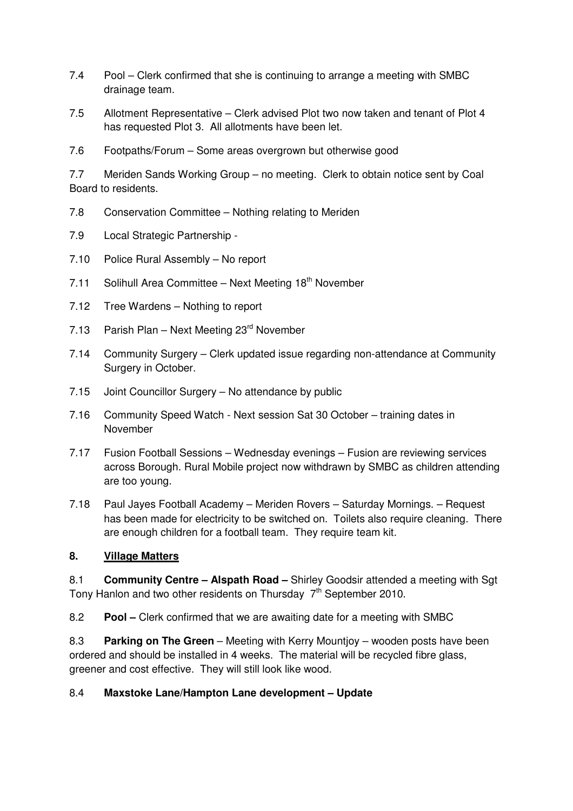- 7.4 Pool Clerk confirmed that she is continuing to arrange a meeting with SMBC drainage team.
- 7.5 Allotment Representative Clerk advised Plot two now taken and tenant of Plot 4 has requested Plot 3. All allotments have been let.
- 7.6 Footpaths/Forum Some areas overgrown but otherwise good

7.7 Meriden Sands Working Group – no meeting. Clerk to obtain notice sent by Coal Board to residents.

- 7.8 Conservation Committee Nothing relating to Meriden
- 7.9 Local Strategic Partnership -
- 7.10 Police Rural Assembly No report
- 7.11 Solihull Area Committee Next Meeting 18<sup>th</sup> November
- 7.12 Tree Wardens Nothing to report
- 7.13 Parish Plan Next Meeting 23<sup>rd</sup> November
- 7.14 Community Surgery Clerk updated issue regarding non-attendance at Community Surgery in October.
- 7.15 Joint Councillor Surgery No attendance by public
- 7.16 Community Speed Watch Next session Sat 30 October training dates in November
- 7.17 Fusion Football Sessions Wednesday evenings Fusion are reviewing services across Borough. Rural Mobile project now withdrawn by SMBC as children attending are too young.
- 7.18 Paul Jayes Football Academy Meriden Rovers Saturday Mornings. Request has been made for electricity to be switched on. Toilets also require cleaning. There are enough children for a football team. They require team kit.

# **8. Village Matters**

8.1 **Community Centre – Alspath Road –** Shirley Goodsir attended a meeting with Sgt Tony Hanlon and two other residents on Thursday  $7<sup>th</sup>$  September 2010.

8.2 **Pool –** Clerk confirmed that we are awaiting date for a meeting with SMBC

8.3 **Parking on The Green** – Meeting with Kerry Mountjoy – wooden posts have been ordered and should be installed in 4 weeks. The material will be recycled fibre glass, greener and cost effective. They will still look like wood.

#### 8.4 **Maxstoke Lane/Hampton Lane development – Update**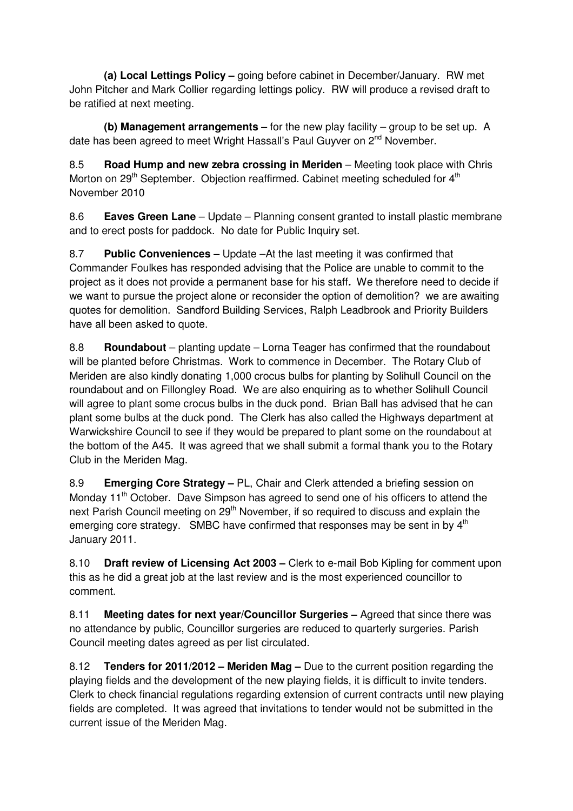**(a) Local Lettings Policy –** going before cabinet in December/January. RW met John Pitcher and Mark Collier regarding lettings policy. RW will produce a revised draft to be ratified at next meeting.

 **(b) Management arrangements –** for the new play facility – group to be set up. A date has been agreed to meet Wright Hassall's Paul Guyver on 2<sup>nd</sup> November.

8.5 **Road Hump and new zebra crossing in Meriden** – Meeting took place with Chris Morton on 29<sup>th</sup> September. Objection reaffirmed. Cabinet meeting scheduled for 4<sup>th</sup> November 2010

8.6 **Eaves Green Lane** – Update – Planning consent granted to install plastic membrane and to erect posts for paddock. No date for Public Inquiry set.

8.7 **Public Conveniences –** Update –At the last meeting it was confirmed that Commander Foulkes has responded advising that the Police are unable to commit to the project as it does not provide a permanent base for his staff**.** We therefore need to decide if we want to pursue the project alone or reconsider the option of demolition? we are awaiting quotes for demolition. Sandford Building Services, Ralph Leadbrook and Priority Builders have all been asked to quote.

8.8 **Roundabout** – planting update – Lorna Teager has confirmed that the roundabout will be planted before Christmas. Work to commence in December. The Rotary Club of Meriden are also kindly donating 1,000 crocus bulbs for planting by Solihull Council on the roundabout and on Fillongley Road. We are also enquiring as to whether Solihull Council will agree to plant some crocus bulbs in the duck pond. Brian Ball has advised that he can plant some bulbs at the duck pond. The Clerk has also called the Highways department at Warwickshire Council to see if they would be prepared to plant some on the roundabout at the bottom of the A45. It was agreed that we shall submit a formal thank you to the Rotary Club in the Meriden Mag.

8.9 **Emerging Core Strategy –** PL, Chair and Clerk attended a briefing session on Monday 11<sup>th</sup> October. Dave Simpson has agreed to send one of his officers to attend the next Parish Council meeting on 29<sup>th</sup> November, if so required to discuss and explain the emerging core strategy. SMBC have confirmed that responses may be sent in by 4<sup>th</sup> January 2011.

8.10 **Draft review of Licensing Act 2003 –** Clerk to e-mail Bob Kipling for comment upon this as he did a great job at the last review and is the most experienced councillor to comment.

8.11 **Meeting dates for next year/Councillor Surgeries –** Agreed that since there was no attendance by public, Councillor surgeries are reduced to quarterly surgeries. Parish Council meeting dates agreed as per list circulated.

8.12 **Tenders for 2011/2012 – Meriden Mag –** Due to the current position regarding the playing fields and the development of the new playing fields, it is difficult to invite tenders. Clerk to check financial regulations regarding extension of current contracts until new playing fields are completed. It was agreed that invitations to tender would not be submitted in the current issue of the Meriden Mag.